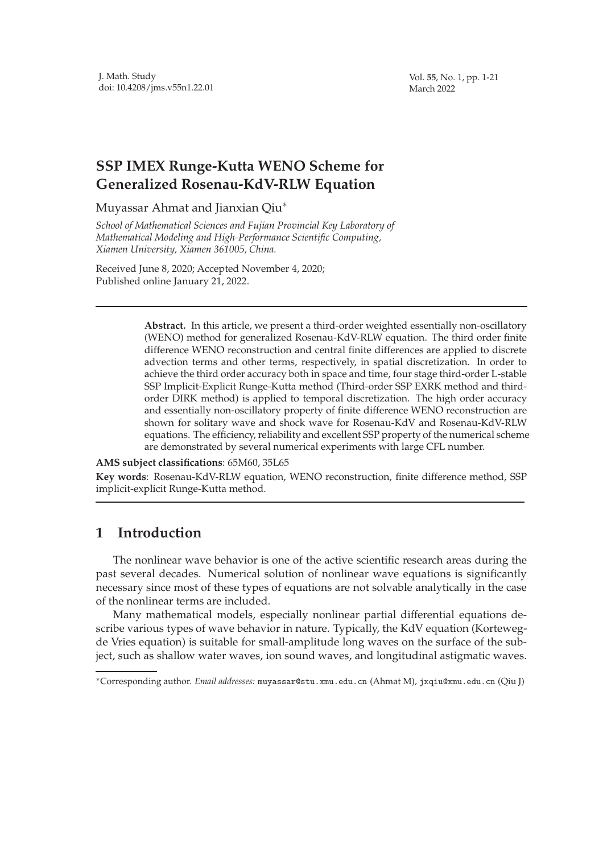Vol. **55**, No. 1, pp. 1-21 March 2022

## **SSP IMEX Runge-Kutta WENO Scheme for Generalized Rosenau-KdV-RLW Equation**

Muyassar Ahmat and Jianxian Qiu<sup>∗</sup>

*School of Mathematical Sciences and Fujian Provincial Key Laboratory of Mathematical Modeling and High-Performance Scientific Computing, Xiamen University, Xiamen 361005, China.*

Received June 8, 2020; Accepted November 4, 2020; Published online January 21, 2022.

> **Abstract.** In this article, we present a third-order weighted essentially non-oscillatory (WENO) method for generalized Rosenau-KdV-RLW equation. The third order finite difference WENO reconstruction and central finite differences are applied to discrete advection terms and other terms, respectively, in spatial discretization. In order to achieve the third order accuracy both in space and time, four stage third-order L-stable SSP Implicit-Explicit Runge-Kutta method (Third-order SSP EXRK method and thirdorder DIRK method) is applied to temporal discretization. The high order accuracy and essentially non-oscillatory property of finite difference WENO reconstruction are shown for solitary wave and shock wave for Rosenau-KdV and Rosenau-KdV-RLW equations. The efficiency, reliability and excellent SSP property of the numerical scheme are demonstrated by several numerical experiments with large CFL number.

**AMS subject classifications**: 65M60, 35L65

**Key words**: Rosenau-KdV-RLW equation, WENO reconstruction, finite difference method, SSP implicit-explicit Runge-Kutta method.

## **1 Introduction**

The nonlinear wave behavior is one of the active scientific research areas during the past several decades. Numerical solution of nonlinear wave equations is significantly necessary since most of these types of equations are not solvable analytically in the case of the nonlinear terms are included.

Many mathematical models, especially nonlinear partial differential equations describe various types of wave behavior in nature. Typically, the KdV equation (Kortewegde Vries equation) is suitable for small-amplitude long waves on the surface of the subject, such as shallow water waves, ion sound waves, and longitudinal astigmatic waves.

<sup>∗</sup>Corresponding author. *Email addresses:* muyassar@stu.xmu.edu.cn (Ahmat M), jxqiu@xmu.edu.cn (Qiu J)